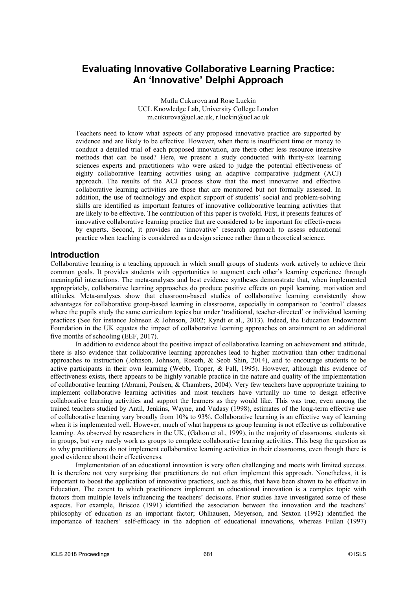# **Evaluating Innovative Collaborative Learning Practice: An 'Innovative' Delphi Approach**

Mutlu Cukurova and Rose Luckin UCL Knowledge Lab, University College London m.cukurova@ucl.ac.uk, r.luckin@ucl.ac.uk

Teachers need to know what aspects of any proposed innovative practice are supported by evidence and are likely to be effective. However, when there is insufficient time or money to conduct a detailed trial of each proposed innovation, are there other less resource intensive methods that can be used? Here, we present a study conducted with thirty-six learning sciences experts and practitioners who were asked to judge the potential effectiveness of eighty collaborative learning activities using an adaptive comparative judgment (ACJ) approach. The results of the ACJ process show that the most innovative and effective collaborative learning activities are those that are monitored but not formally assessed. In addition, the use of technology and explicit support of students' social and problem-solving skills are identified as important features of innovative collaborative learning activities that are likely to be effective. The contribution of this paper is twofold. First, it presents features of innovative collaborative learning practice that are considered to be important for effectiveness by experts. Second, it provides an 'innovative' research approach to assess educational practice when teaching is considered as a design science rather than a theoretical science.

#### **Introduction**

Collaborative learning is a teaching approach in which small groups of students work actively to achieve their common goals. It provides students with opportunities to augment each other's learning experience through meaningful interactions. The meta-analyses and best evidence syntheses demonstrate that, when implemented appropriately, collaborative learning approaches do produce positive effects on pupil learning, motivation and attitudes. Meta-analyses show that classroom-based studies of collaborative learning consistently show advantages for collaborative group-based learning in classrooms, especially in comparison to 'control' classes where the pupils study the same curriculum topics but under 'traditional, teacher-directed' or individual learning practices (See for instance Johnson & Johnson, 2002; Kyndt et al., 2013). Indeed, the Education Endowment Foundation in the UK equates the impact of collaborative learning approaches on attainment to an additional five months of schooling (EEF, 2017).

In addition to evidence about the positive impact of collaborative learning on achievement and attitude, there is also evidence that collaborative learning approaches lead to higher motivation than other traditional approaches to instruction (Johnson, Johnson, Roseth, & Seob Shin, 2014), and to encourage students to be active participants in their own learning (Webb, Troper, & Fall, 1995). However, although this evidence of effectiveness exists, there appears to be highly variable practice in the nature and quality of the implementation of collaborative learning (Abrami, Poulsen, & Chambers, 2004). Very few teachers have appropriate training to implement collaborative learning activities and most teachers have virtually no time to design effective collaborative learning activities and support the learners as they would like. This was true, even among the trained teachers studied by Antil, Jenkins, Wayne, and Vadasy (1998), estimates of the long-term effective use of collaborative learning vary broadly from 10% to 93%. Collaborative learning is an effective way of learning when it is implemented well. However, much of what happens as group learning is not effective as collaborative learning. As observed by researchers in the UK, (Galton et al., 1999), in the majority of classrooms, students sit in groups, but very rarely work as groups to complete collaborative learning activities. This besg the question as to why practitioners do not implement collaborative learning activities in their classrooms, even though there is good evidence about their effectiveness.

Implementation of an educational innovation is very often challenging and meets with limited success. It is therefore not very surprising that practitioners do not often implement this approach. Nonetheless, it is important to boost the application of innovative practices, such as this, that have been shown to be effective in Education. The extent to which practitioners implement an educational innovation is a complex topic with factors from multiple levels influencing the teachers' decisions. Prior studies have investigated some of these aspects. For example, Briscoe (1991) identified the association between the innovation and the teachers' philosophy of education as an important factor; Ohlhausen, Meyerson, and Sexton (1992) identified the importance of teachers' self-efficacy in the adoption of educational innovations, whereas Fullan (1997)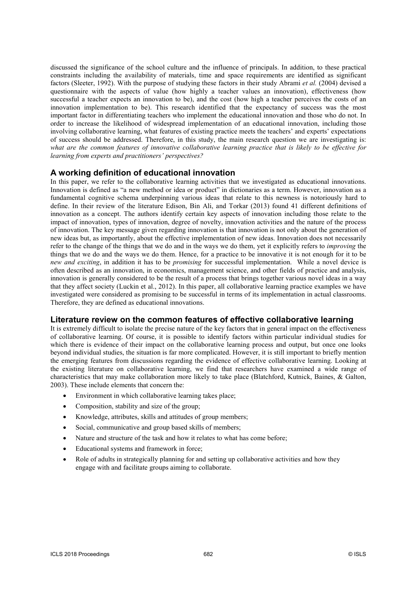discussed the significance of the school culture and the influence of principals. In addition, to these practical constraints including the availability of materials, time and space requirements are identified as significant factors (Sleeter, 1992). With the purpose of studying these factors in their study Abrami et al. (2004) devised a questionnaire with the aspects of value (how highly a teacher values an innovation), effectiveness (how successful a teacher expects an innovation to be), and the cost (how high a teacher perceives the costs of an innovation implementation to be). This research identified that the expectancy of success was the most important factor in differentiating teachers who implement the educational innovation and those who do not. In order to increase the likelihood of widespread implementation of an educational innovation, including those involving collaborative learning, what features of existing practice meets the teachers' and experts' expectations of success should be addressed. Therefore, in this study, the main research question we are investigating is: what are the common features of innovative collaborative learning practice that is likely to be effective for learning from experts and practitioners' perspectives?

## **A working definition of educational innovation**

In this paper, we refer to the collaborative learning activities that we investigated as educational innovations. Innovation is defined as "a new method or idea or product" in dictionaries as a term. However, innovation as a fundamental cognitive schema underpinning various ideas that relate to this newness is notoriously hard to define. In their review of the literature Edison, Bin Ali, and Torkar (2013) found 41 different definitions of innovation as a concept. The authors identify certain key aspects of innovation including those relate to the impact of innovation, types of innovation, degree of novelty, innovation activities and the nature of the process of innovation. The key message given regarding innovation is that innovation is not only about the generation of new ideas but, as importantly, about the effective implementation of new ideas. Innovation does not necessarily refer to the change of the things that we do and in the ways we do them, yet it explicitly refers to improving the things that we do and the ways we do them. Hence, for a practice to be innovative it is not enough for it to be new and exciting, in addition it has to be *promising* for successful implementation. While a novel device is often described as an innovation, in economics, management science, and other fields of practice and analysis, innovation is generally considered to be the result of a process that brings together various novel ideas in a way that they affect society (Luckin et al., 2012). In this paper, all collaborative learning practice examples we have investigated were considered as promising to be successful in terms of its implementation in actual classrooms. Therefore, they are defined as educational innovations.

#### **Literature review on the common features of effective collaborative learning**

It is extremely difficult to isolate the precise nature of the key factors that in general impact on the effectiveness of collaborative learning. Of course, it is possible to identify factors within particular individual studies for which there is evidence of their impact on the collaborative learning process and output, but once one looks beyond individual studies, the situation is far more complicated. However, it is still important to briefly mention the emerging features from discussions regarding the evidence of effective collaborative learning. Looking at the existing literature on collaborative learning, we find that researchers have examined a wide range of characteristics that may make collaboration more likely to take place (Blatchford, Kutnick, Baines, & Galton, 2003). These include elements that concern the:

- Environment in which collaborative learning takes place;
- Composition, stability and size of the group;
- Knowledge, attributes, skills and attitudes of group members;
- Social, communicative and group based skills of members;
- Nature and structure of the task and how it relates to what has come before;
- Educational systems and framework in force;
- Role of adults in strategically planning for and setting up collaborative activities and how they engage with and facilitate groups aiming to collaborate.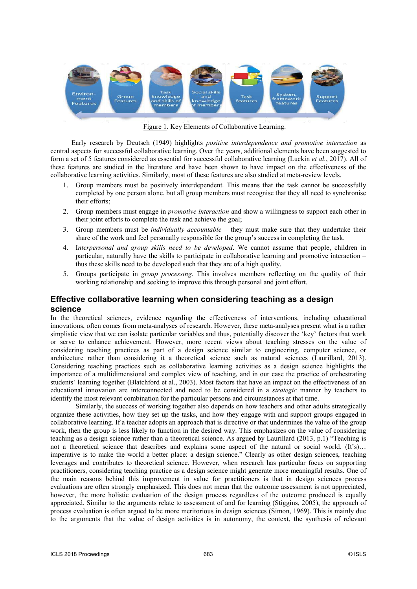

Figure 1. Key Elements of Collaborative Learning.

 Early research by Deutsch (1949) highlights positive interdependence and promotive interaction as central aspects for successful collaborative learning. Over the years, additional elements have been suggested to form a set of 5 features considered as essential for successful collaborative learning (Luckin et al., 2017). All of these features are studied in the literature and have been shown to have impact on the effectiveness of the collaborative learning activities. Similarly, most of these features are also studied at meta-review levels.

- 1. Group members must be positively interdependent. This means that the task cannot be successfully completed by one person alone, but all group members must recognise that they all need to synchronise their efforts;
- 2. Group members must engage in promotive interaction and show a willingness to support each other in their joint efforts to complete the task and achieve the goal;
- 3. Group members must be *individually accountable –* they must make sure that they undertake their share of the work and feel personally responsible for the group's success in completing the task.
- 4. Interpersonal and group skills need to be developed. We cannot assume that people, children in particular, naturally have the skills to participate in collaborative learning and promotive interaction – thus these skills need to be developed such that they are of a high quality.
- 5. Groups participate in group processing. This involves members reflecting on the quality of their working relationship and seeking to improve this through personal and joint effort.

## **Effective collaborative learning when considering teaching as a design science**

In the theoretical sciences, evidence regarding the effectiveness of interventions, including educational innovations, often comes from meta-analyses of research. However, these meta-analyses present what is a rather simplistic view that we can isolate particular variables and thus, potentially discover the 'key' factors that work or serve to enhance achievement. However, more recent views about teaching stresses on the value of considering teaching practices as part of a design science similar to engineering, computer science, or architecture rather than considering it a theoretical science such as natural sciences (Laurillard, 2013). Considering teaching practices such as collaborative learning activities as a design science highlights the importance of a multidimensional and complex view of teaching, and in our case the practice of orchestrating students' learning together (Blatchford et al., 2003). Most factors that have an impact on the effectiveness of an educational innovation are interconnected and need to be considered in a strategic manner by teachers to identify the most relevant combination for the particular persons and circumstances at that time.

Similarly, the success of working together also depends on how teachers and other adults strategically organize these activities, how they set up the tasks, and how they engage with and support groups engaged in collaborative learning. If a teacher adopts an approach that is directive or that undermines the value of the group work, then the group is less likely to function in the desired way. This emphasizes on the value of considering teaching as a design science rather than a theoretical science. As argued by Laurillard (2013, p.1) "Teaching is not a theoretical science that describes and explains some aspect of the natural or social world. (It's)… imperative is to make the world a better place: a design science." Clearly as other design sciences, teaching leverages and contributes to theoretical science. However, when research has particular focus on supporting practitioners, considering teaching practice as a design science might generate more meaningful results. One of the main reasons behind this improvement in value for practitioners is that in design sciences process evaluations are often strongly emphasized. This does not mean that the outcome assessment is not appreciated, however, the more holistic evaluation of the design process regardless of the outcome produced is equally appreciated. Similar to the arguments relate to assessment of and for learning (Stiggins, 2005), the approach of process evaluation is often argued to be more meritorious in design sciences (Simon, 1969). This is mainly due to the arguments that the value of design activities is in autonomy, the context, the synthesis of relevant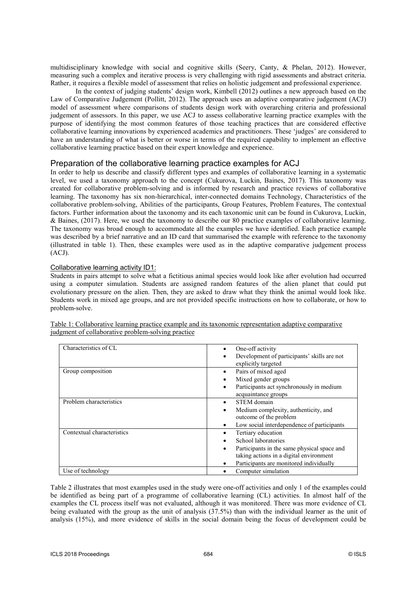multidisciplinary knowledge with social and cognitive skills (Seery, Canty, & Phelan, 2012). However, measuring such a complex and iterative process is very challenging with rigid assessments and abstract criteria. Rather, it requires a flexible model of assessment that relies on holistic judgement and professional experience.

In the context of judging students' design work, Kimbell (2012) outlines a new approach based on the Law of Comparative Judgement (Pollitt, 2012). The approach uses an adaptive comparative judgement (ACJ) model of assessment where comparisons of students design work with overarching criteria and professional judgement of assessors. In this paper, we use ACJ to assess collaborative learning practice examples with the purpose of identifying the most common features of those teaching practices that are considered effective collaborative learning innovations by experienced academics and practitioners. These 'judges' are considered to have an understanding of what is better or worse in terms of the required capability to implement an effective collaborative learning practice based on their expert knowledge and experience.

## Preparation of the collaborative learning practice examples for ACJ

In order to help us describe and classify different types and examples of collaborative learning in a systematic level, we used a taxonomy approach to the concept (Cukurova, Luckin, Baines, 2017). This taxonomy was created for collaborative problem-solving and is informed by research and practice reviews of collaborative learning. The taxonomy has six non-hierarchical, inter-connected domains Technology, Characteristics of the collaborative problem-solving, Abilities of the participants, Group Features, Problem Features, The contextual factors. Further information about the taxonomy and its each taxonomic unit can be found in Cukurova, Luckin, & Baines, (2017). Here, we used the taxonomy to describe our 80 practice examples of collaborative learning. The taxonomy was broad enough to accommodate all the examples we have identified. Each practice example was described by a brief narrative and an ID card that summarised the example with reference to the taxonomy (illustrated in table 1). Then, these examples were used as in the adaptive comparative judgement process (ACJ).

#### Collaborative learning activity ID1:

Students in pairs attempt to solve what a fictitious animal species would look like after evolution had occurred using a computer simulation. Students are assigned random features of the alien planet that could put evolutionary pressure on the alien. Then, they are asked to draw what they think the animal would look like. Students work in mixed age groups, and are not provided specific instructions on how to collaborate, or how to problem-solve.

| Characteristics of CL      | One-off activity                                 |
|----------------------------|--------------------------------------------------|
|                            | Development of participants' skills are not      |
|                            | explicitly targeted                              |
| Group composition          | Pairs of mixed aged<br>٠                         |
|                            | Mixed gender groups                              |
|                            | Participants act synchronously in medium<br>٠    |
|                            | acquaintance groups                              |
| Problem characteristics    | STEM domain                                      |
|                            | Medium complexity, authenticity, and<br>٠        |
|                            | outcome of the problem                           |
|                            | Low social interdependence of participants       |
| Contextual characteristics | Tertiary education                               |
|                            | School laboratories                              |
|                            | Participants in the same physical space and<br>٠ |
|                            | taking actions in a digital environment          |
|                            | Participants are monitored individually          |
| Use of technology          | Computer simulation                              |

Table 1: Collaborative learning practice example and its taxonomic representation adaptive comparative judgment of collaborative problem-solving practice

Table 2 illustrates that most examples used in the study were one-off activities and only 1 of the examples could be identified as being part of a programme of collaborative learning (CL) activities. In almost half of the examples the CL process itself was not evaluated, although it was monitored. There was more evidence of CL being evaluated with the group as the unit of analysis (37.5%) than with the individual learner as the unit of analysis (15%), and more evidence of skills in the social domain being the focus of development could be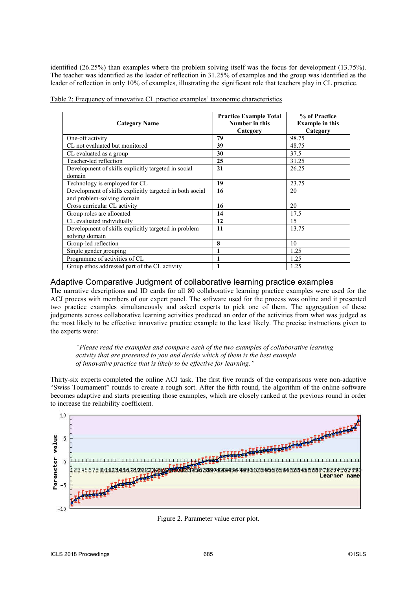identified (26.25%) than examples where the problem solving itself was the focus for development (13.75%). The teacher was identified as the leader of reflection in 31.25% of examples and the group was identified as the leader of reflection in only 10% of examples, illustrating the significant role that teachers play in CL practice.

|  |  |  | Table 2: Frequency of innovative CL practice examples' taxonomic characteristics |  |
|--|--|--|----------------------------------------------------------------------------------|--|
|  |  |  |                                                                                  |  |

| <b>Category Name</b>                                                                   | <b>Practice Example Total</b><br>Number in this<br>Category | % of Practice<br><b>Example in this</b><br>Category |
|----------------------------------------------------------------------------------------|-------------------------------------------------------------|-----------------------------------------------------|
| One-off activity                                                                       | 79                                                          | 98.75                                               |
| CL not evaluated but monitored                                                         | 39                                                          | 48.75                                               |
| CL evaluated as a group                                                                | 30                                                          | 37.5                                                |
| Teacher-led reflection                                                                 | 25                                                          | 31.25                                               |
| Development of skills explicitly targeted in social<br>domain                          | 21                                                          | 26.25                                               |
| Technology is employed for CL                                                          | 19                                                          | 23.75                                               |
| Development of skills explicitly targeted in both social<br>and problem-solving domain | 16                                                          | 20                                                  |
| Cross curricular CL activity                                                           | 16                                                          | 20                                                  |
| Group roles are allocated                                                              | 14                                                          | 17.5                                                |
| CL evaluated individually                                                              | 12                                                          | 15                                                  |
| Development of skills explicitly targeted in problem<br>solving domain                 | 11                                                          | 13.75                                               |
| Group-led reflection                                                                   | 8                                                           | 10                                                  |
| Single gender grouping                                                                 |                                                             | 1.25                                                |
| Programme of activities of CL                                                          | 1                                                           | 1.25                                                |
| Group ethos addressed part of the CL activity                                          |                                                             | 1.25                                                |

#### Adaptive Comparative Judgment of collaborative learning practice examples

The narrative descriptions and ID cards for all 80 collaborative learning practice examples were used for the ACJ process with members of our expert panel. The software used for the process was online and it presented two practice examples simultaneously and asked experts to pick one of them. The aggregation of these judgements across collaborative learning activities produced an order of the activities from what was judged as the most likely to be effective innovative practice example to the least likely. The precise instructions given to the experts were:

"Please read the examples and compare each of the two examples of collaborative learning activity that are presented to you and decide which of them is the best example of innovative practice that is likely to be effective for learning."

Thirty-six experts completed the online ACJ task. The first five rounds of the comparisons were non-adaptive "Swiss Tournament" rounds to create a rough sort. After the fifth round, the algorithm of the online software becomes adaptive and starts presenting those examples, which are closely ranked at the previous round in order to increase the reliability coefficient.



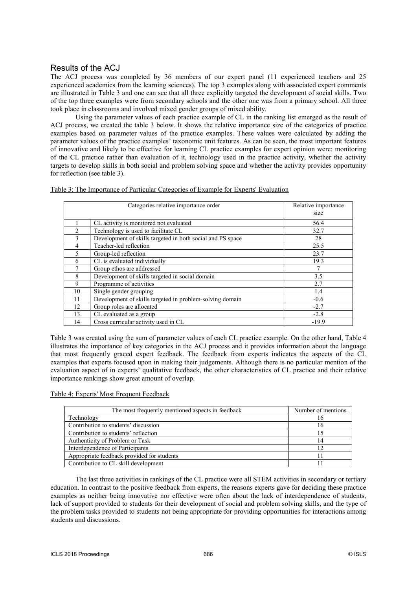## Results of the ACJ

The ACJ process was completed by 36 members of our expert panel (11 experienced teachers and 25 experienced academics from the learning sciences). The top 3 examples along with associated expert comments are illustrated in Table 3 and one can see that all three explicitly targeted the development of social skills. Two of the top three examples were from secondary schools and the other one was from a primary school. All three took place in classrooms and involved mixed gender groups of mixed ability.

Using the parameter values of each practice example of CL in the ranking list emerged as the result of ACJ process, we created the table 3 below. It shows the relative importance size of the categories of practice examples based on parameter values of the practice examples. These values were calculated by adding the parameter values of the practice examples' taxonomic unit features. As can be seen, the most important features of innovative and likely to be effective for learning CL practice examples for expert opinion were: monitoring of the CL practice rather than evaluation of it, technology used in the practice activity, whether the activity targets to develop skills in both social and problem solving space and whether the activity provides opportunity for reflection (see table 3).

| Categories relative importance order                       | Relative importance<br>size |
|------------------------------------------------------------|-----------------------------|
| CL activity is monitored not evaluated                     | 56.4                        |
| Technology is used to facilitate CL                        | 32.7                        |
| Development of skills targeted in both social and PS space | 28                          |
| Teacher-led reflection                                     | 25.5                        |
| Group-led reflection                                       | 23.7                        |
| CL is evaluated individually                               | 19.3                        |

7 Group ethos are addressed 7 8 Development of skills targeted in social domain 3.5 9 Programme of activities 2.7 10 Single gender grouping 1.4 11 Development of skills targeted in problem-solving domain -0.6 12 Group roles are allocated  $-2.7$  $13$  CL evaluated as a group  $-2.8$ 14 Cross curricular activity used in CL 19.9

Table 3: The Importance of Particular Categories of Example for Experts' Evaluation

Table 3 was created using the sum of parameter values of each CL practice example. On the other hand, Table 4 illustrates the importance of key categories in the ACJ process and it provides information about the language that most frequently graced expert feedback. The feedback from experts indicates the aspects of the CL examples that experts focused upon in making their judgements. Although there is no particular mention of the evaluation aspect of in experts' qualitative feedback, the other characteristics of CL practice and their relative importance rankings show great amount of overlap.

#### Table 4: Experts' Most Frequent Feedback

| The most frequently mentioned aspects in feedback | Number of mentions |
|---------------------------------------------------|--------------------|
| Technology                                        | 16                 |
| Contribution to students' discussion              | 16                 |
| Contribution to students' reflection              | 15                 |
| Authenticity of Problem or Task                   | 14                 |
| Interdependence of Participants                   | 12                 |
| Appropriate feedback provided for students        | 11                 |
| Contribution to CL skill development              |                    |

The last three activities in rankings of the CL practice were all STEM activities in secondary or tertiary education. In contrast to the positive feedback from experts, the reasons experts gave for deciding these practice examples as neither being innovative nor effective were often about the lack of interdependence of students, lack of support provided to students for their development of social and problem solving skills, and the type of the problem tasks provided to students not being appropriate for providing opportunities for interactions among students and discussions.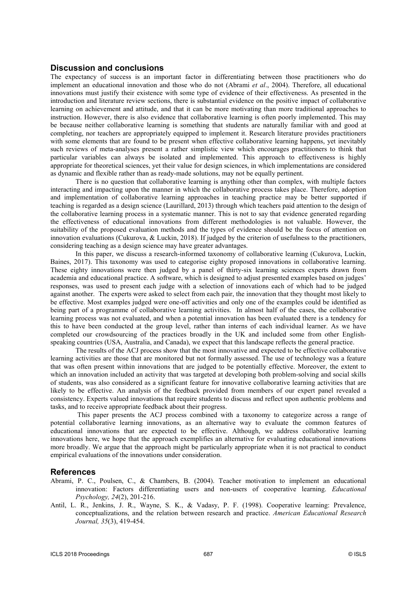#### **Discussion and conclusions**

The expectancy of success is an important factor in differentiating between those practitioners who do implement an educational innovation and those who do not (Abrami et al., 2004). Therefore, all educational innovations must justify their existence with some type of evidence of their effectiveness. As presented in the introduction and literature review sections, there is substantial evidence on the positive impact of collaborative learning on achievement and attitude, and that it can be more motivating than more traditional approaches to instruction. However, there is also evidence that collaborative learning is often poorly implemented. This may be because neither collaborative learning is something that students are naturally familiar with and good at completing, nor teachers are appropriately equipped to implement it. Research literature provides practitioners with some elements that are found to be present when effective collaborative learning happens, yet inevitably such reviews of meta-analyses present a rather simplistic view which encourages practitioners to think that particular variables can always be isolated and implemented. This approach to effectiveness is highly appropriate for theoretical sciences, yet their value for design sciences, in which implementations are considered as dynamic and flexible rather than as ready-made solutions, may not be equally pertinent.

There is no question that collaborative learning is anything other than complex, with multiple factors interacting and impacting upon the manner in which the collaborative process takes place. Therefore, adoption and implementation of collaborative learning approaches in teaching practice may be better supported if teaching is regarded as a design science (Laurillard, 2013) through which teachers paid attention to the design of the collaborative learning process in a systematic manner. This is not to say that evidence generated regarding the effectiveness of educational innovations from different methodologies is not valuable. However, the suitability of the proposed evaluation methods and the types of evidence should be the focus of attention on innovation evaluations (Cukurova, & Luckin, 2018). If judged by the criterion of usefulness to the practitioners, considering teaching as a design science may have greater advantages.

In this paper, we discuss a research-informed taxonomy of collaborative learning (Cukurova, Luckin, Baines, 2017). This taxonomy was used to categorise eighty proposed innovations in collaborative learning. These eighty innovations were then judged by a panel of thirty-six learning sciences experts drawn from academia and educational practice. A software, which is designed to adjust presented examples based on judges' responses, was used to present each judge with a selection of innovations each of which had to be judged against another. The experts were asked to select from each pair, the innovation that they thought most likely to be effective. Most examples judged were one-off activities and only one of the examples could be identified as being part of a programme of collaborative learning activities. In almost half of the cases, the collaborative learning process was not evaluated, and when a potential innovation has been evaluated there is a tendency for this to have been conducted at the group level, rather than interns of each individual learner. As we have completed our crowdsourcing of the practices broadly in the UK and included some from other Englishspeaking countries (USA, Australia, and Canada), we expect that this landscape reflects the general practice.

The results of the ACJ process show that the most innovative and expected to be effective collaborative learning activities are those that are monitored but not formally assessed. The use of technology was a feature that was often present within innovations that are judged to be potentially effective. Moreover, the extent to which an innovation included an activity that was targeted at developing both problem-solving and social skills of students, was also considered as a significant feature for innovative collaborative learning activities that are likely to be effective. An analysis of the feedback provided from members of our expert panel revealed a consistency. Experts valued innovations that require students to discuss and reflect upon authentic problems and tasks, and to receive appropriate feedback about their progress.

This paper presents the ACJ process combined with a taxonomy to categorize across a range of potential collaborative learning innovations, as an alternative way to evaluate the common features of educational innovations that are expected to be effective. Although, we address collaborative learning innovations here, we hope that the approach exemplifies an alternative for evaluating educational innovations more broadly. We argue that the approach might be particularly appropriate when it is not practical to conduct empirical evaluations of the innovations under consideration.

#### **References**

- Abrami, P. C., Poulsen, C., & Chambers, B. (2004). Teacher motivation to implement an educational innovation: Factors differentiating users and non-users of cooperative learning. Educational Psychology, 24(2), 201-216.
- Antil, L. R., Jenkins, J. R., Wayne, S. K., & Vadasy, P. F. (1998). Cooperative learning: Prevalence, conceptualizations, and the relation between research and practice. American Educational Research Journal, 35(3), 419-454.